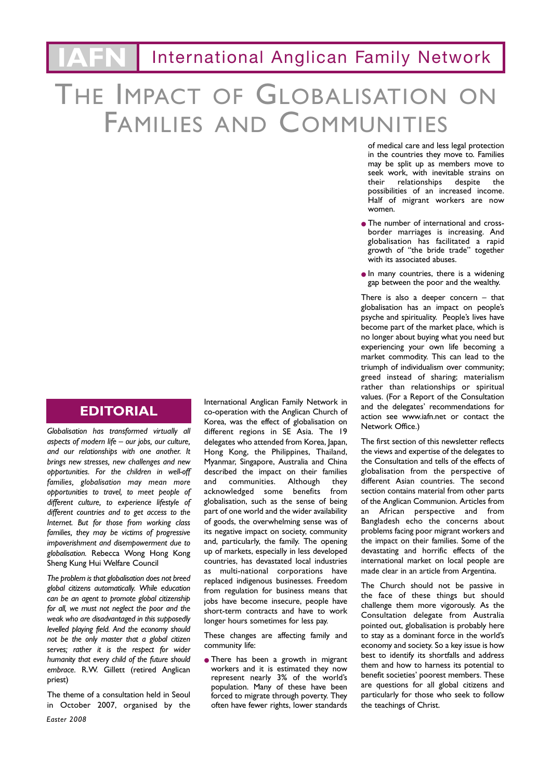# THE IMPACT OF GLOBALISATION FAMILIES AND COMMUNITIES

## **EDITORIAL**

*Globalisation has transformed virtually all aspects of modern life – our jobs, our culture, and our relationships with one another. It brings new stresses, new challenges and new opportunities. For the children in well-off families, globalisation may mean more opportunities to travel, to meet people of different culture, to experience lifestyle of different countries and to get access to the Internet. But for those from working class families, they may be victims of progressive impoverishment and disempowerment due to globalisation.* Rebecca Wong Hong Kong Sheng Kung Hui Welfare Council

*The problem is that globalisation does not breed global citizens automatically. While education can be an agent to promote global citizenship for all, we must not neglect the poor and the weak who are disadvantaged in this supposedly levelled playing field. And the economy should not be the only master that a global citizen serves; rather it is the respect for wider humanity that every child of the future should embrace.* R.W. Gillett (retired Anglican priest)

The theme of a consultation held in Seoul in October 2007, organised by the International Anglican Family Network in co-operation with the Anglican Church of Korea, was the effect of globalisation on different regions in SE Asia. The 19 delegates who attended from Korea, Japan, Hong Kong, the Philippines, Thailand, Myanmar, Singapore, Australia and China described the impact on their families<br>and communities Although they communities. Although acknowledged some benefits from globalisation, such as the sense of being part of one world and the wider availability of goods, the overwhelming sense was of its negative impact on society, community and, particularly, the family. The opening up of markets, especially in less developed countries, has devastated local industries as multi-national corporations have replaced indigenous businesses. Freedom from regulation for business means that jobs have become insecure, people have short-term contracts and have to work longer hours sometimes for less pay.

These changes are affecting family and community life:

• There has been a growth in migrant workers and it is estimated they now represent nearly 3% of the world's population. Many of these have been forced to migrate through poverty. They often have fewer rights, lower standards

of medical care and less legal protection in the countries they move to. Families may be split up as members move to seek work, with inevitable strains on their relationships despite the possibilities of an increased income. Half of migrant workers are now women.

- The number of international and crossborder marriages is increasing. And globalisation has facilitated a rapid growth of "the bride trade" together with its associated abuses.
- **•** In many countries, there is a widening gap between the poor and the wealthy.

There is also a deeper concern  $-$  that globalisation has an impact on people's psyche and spirituality. People's lives have become part of the market place, which is no longer about buying what you need but experiencing your own life becoming a market commodity. This can lead to the triumph of individualism over community; greed instead of sharing; materialism rather than relationships or spiritual values. (For a Report of the Consultation and the delegates' recommendations for action see www.iafn.net or contact the Network Office.)

The first section of this newsletter reflects the views and expertise of the delegates to the Consultation and tells of the effects of globalisation from the perspective of different Asian countries. The second section contains material from other parts of the Anglican Communion. Articles from an African perspective and from Bangladesh echo the concerns about problems facing poor migrant workers and the impact on their families. Some of the devastating and horrific effects of the international market on local people are made clear in an article from Argentina.

The Church should not be passive in the face of these things but should challenge them more vigorously. As the Consultation delegate from Australia pointed out, globalisation is probably here to stay as a dominant force in the world's economy and society. So a key issue is how best to identify its shortfalls and address them and how to harness its potential to benefit societies' poorest members. These are questions for all global citizens and particularly for those who seek to follow the teachings of Christ.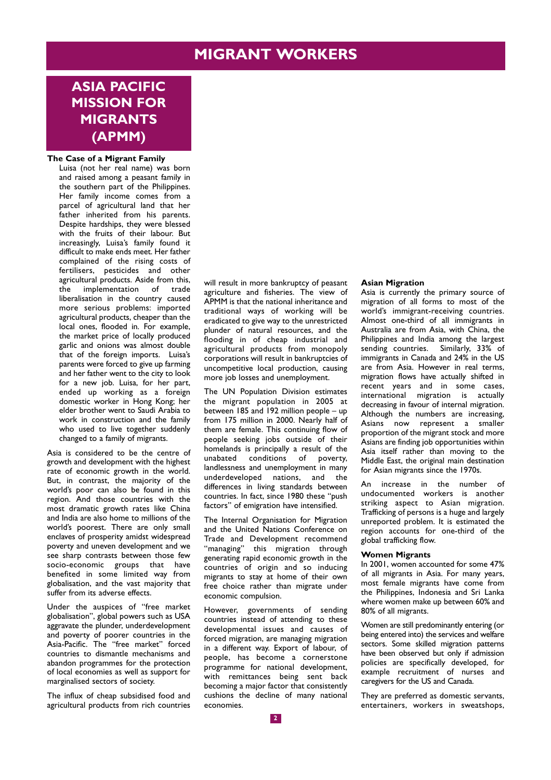# **MIGRANT WORKERS**

# **ASIA PACIFIC MISSION FOR MIGRANTS (APMM)**

#### **The Case of a Migrant Family**

Luisa (not her real name) was born and raised among a peasant family in the southern part of the Philippines. Her family income comes from a parcel of agricultural land that her father inherited from his parents. Despite hardships, they were blessed with the fruits of their labour. But increasingly, Luisa's family found it difficult to make ends meet. Her father complained of the rising costs of fertilisers, pesticides and other agricultural products. Aside from this, the implementation of trade liberalisation in the country caused more serious problems: imported agricultural products, cheaper than the local ones, flooded in. For example, the market price of locally produced garlic and onions was almost double that of the foreign imports. Luisa's parents were forced to give up farming and her father went to the city to look for a new job. Luisa, for her part, ended up working as a foreign domestic worker in Hong Kong; her elder brother went to Saudi Arabia to work in construction and the family who used to live together suddenly changed to a family of migrants.

Asia is considered to be the centre of growth and development with the highest rate of economic growth in the world. But, in contrast, the majority of the world's poor can also be found in this region. And those countries with the most dramatic growth rates like China and India are also home to millions of the world's poorest. There are only small enclaves of prosperity amidst widespread poverty and uneven development and we see sharp contrasts between those few socio-economic groups that have benefited in some limited way from globalisation, and the vast majority that suffer from its adverse effects.

Under the auspices of "free market globalisation", global powers such as USA aggravate the plunder, underdevelopment and poverty of poorer countries in the Asia-Pacific. The "free market" forced countries to dismantle mechanisms and abandon programmes for the protection of local economies as well as support for marginalised sectors of society.

The influx of cheap subsidised food and agricultural products from rich countries will result in more bankruptcy of peasant agriculture and fisheries. The view of APMM is that the national inheritance and traditional ways of working will be eradicated to give way to the unrestricted plunder of natural resources, and the flooding in of cheap industrial and agricultural products from monopoly corporations will result in bankruptcies of uncompetitive local production, causing more job losses and unemployment.

The UN Population Division estimates the migrant population in 2005 at between 185 and 192 million people – up from 175 million in 2000. Nearly half of them are female. This continuing flow of people seeking jobs outside of their homelands is principally a result of the unabated conditions of poverty, landlessness and unemployment in many underdeveloped nations, and the differences in living standards between countries. In fact, since 1980 these "push factors" of emigration have intensified.

The Internal Organisation for Migration and the United Nations Conference on Trade and Development recommend "managing" this migration through generating rapid economic growth in the countries of origin and so inducing migrants to stay at home of their own free choice rather than migrate under economic compulsion.

However, governments of sending countries instead of attending to these developmental issues and causes of forced migration, are managing migration in a different way. Export of labour, of people, has become a cornerstone programme for national development, with remittances being sent back becoming a major factor that consistently cushions the decline of many national economies.

#### **Asian Migration**

Asia is currently the primary source of migration of all forms to most of the world's immigrant-receiving countries. Almost one-third of all immigrants in Australia are from Asia, with China, the Philippines and India among the largest sending countries. Similarly, 33% of immigrants in Canada and 24% in the US are from Asia. However in real terms, migration flows have actually shifted in recent years and in some cases, international migration is actually decreasing in favour of internal migration. Although the numbers are increasing, Asians now represent a smaller proportion of the migrant stock and more .<br>Asians are finding job opportunities within Asia itself rather than moving to the Middle East, the original main destination for Asian migrants since the 1970s.

An increase in the number of undocumented workers is another striking aspect to Asian migration. Trafficking of persons is a huge and largely unreported problem. It is estimated the region accounts for one-third of the global trafficking flow.

### **Women Migrants**

In 2001, women accounted for some 47% of all migrants in Asia. For many years, most female migrants have come from the Philippines, Indonesia and Sri Lanka where women make up between 60% and 80% of all migrants.

Women are still predominantly entering (or being entered into) the services and welfare sectors. Some skilled migration patterns have been observed but only if admission policies are specifically developed, for example recruitment of nurses and caregivers for the US and Canada.

They are preferred as domestic servants, entertainers, workers in sweatshops,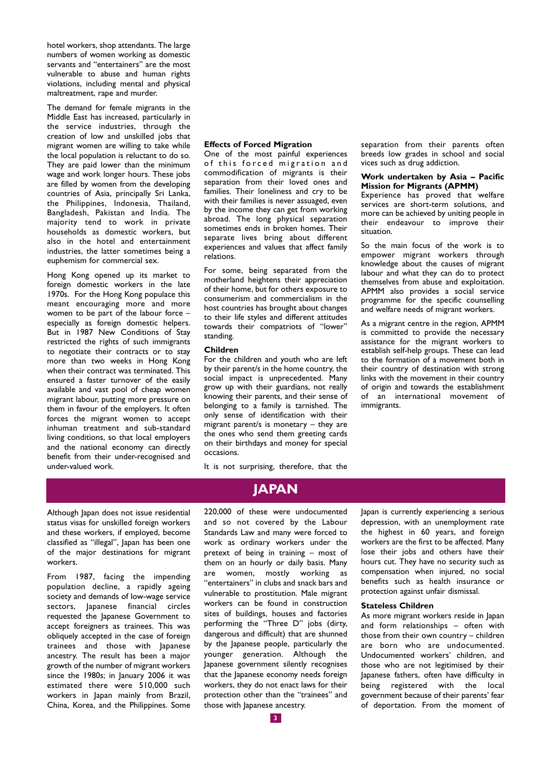hotel workers, shop attendants. The large numbers of women working as domestic servants and "entertainers" are the most vulnerable to abuse and human rights violations, including mental and physical maltreatment, rape and murder.

The demand for female migrants in the Middle East has increased, particularly in the service industries, through the creation of low and unskilled jobs that migrant women are willing to take while the local population is reluctant to do so. They are paid lower than the minimum wage and work longer hours. These jobs are filled by women from the developing countries of Asia, principally Sri Lanka, the Philippines, Indonesia, Thailand, Bangladesh, Pakistan and India. The majority tend to work in private households as domestic workers, but also in the hotel and entertainment industries, the latter sometimes being a euphemism for commercial sex.

Hong Kong opened up its market to foreign domestic workers in the late 1970s. For the Hong Kong populace this meant encouraging more and more women to be part of the labour force – especially as foreign domestic helpers. But in 1987 New Conditions of Stay restricted the rights of such immigrants to negotiate their contracts or to stay more than two weeks in Hong Kong when their contract was terminated. This ensured a faster turnover of the easily available and vast pool of cheap women migrant labour, putting more pressure on them in favour of the employers. It often forces the migrant women to accept inhuman treatment and sub-standard living conditions, so that local employers and the national economy can directly benefit from their under-recognised and under-valued work.

#### **Effects of Forced Migration**

One of the most painful experiences of this forced migration and commodification of migrants is their separation from their loved ones and families. Their loneliness and cry to be with their families is never assuaged, even by the income they can get from working abroad. The long physical separation sometimes ends in broken homes. Their separate lives bring about different experiences and values that affect family relations.

For some, being separated from the motherland heightens their appreciation of their home, but for others exposure to consumerism and commercialism in the host countries has brought about changes to their life styles and different attitudes towards their compatriots of "lower" standing.

#### **Children**

For the children and youth who are left by their parent/s in the home country, the social impact is unprecedented. Many grow up with their guardians, not really knowing their parents, and their sense of belonging to a family is tarnished. The only sense of identification with their migrant parent/s is monetary – they are the ones who send them greeting cards on their birthdays and money for special occasions.

It is not surprising, therefore, that the

### **JAPAN**

Although Japan does not issue residential status visas for unskilled foreign workers and these workers, if employed, become classified as "illegal", Japan has been one of the major destinations for migrant workers.

From 1987, facing the impending population decline, a rapidly ageing society and demands of low-wage service sectors, Japanese financial circles requested the Japanese Government to accept foreigners as trainees. This was obliquely accepted in the case of foreign trainees and those with Japanese ancestry. The result has been a major growth of the number of migrant workers since the 1980s; in January 2006 it was estimated there were 510,000 such workers in Japan mainly from Brazil, China, Korea, and the Philippines. Some 220,000 of these were undocumented and so not covered by the Labour Standards Law and many were forced to work as ordinary workers under the pretext of being in training – most of them on an hourly or daily basis. Many are women, mostly working as "entertainers" in clubs and snack bars and vulnerable to prostitution. Male migrant workers can be found in construction sites of buildings, houses and factories performing the "Three D" jobs (dirty, dangerous and difficult) that are shunned by the Japanese people, particularly the younger generation. Although the Japanese government silently recognises that the Japanese economy needs foreign workers, they do not enact laws for their protection other than the "trainees" and those with Japanese ancestry.

separation from their parents often breeds low grades in school and social vices such as drug addiction.

#### **Work undertaken by Asia – Pacific Mission for Migrants (APMM)**

Experience has proved that welfare services are short-term solutions, and more can be achieved by uniting people in their endeavour to improve their situation.

So the main focus of the work is to empower migrant workers through knowledge about the causes of migrant labour and what they can do to protect themselves from abuse and exploitation. APMM also provides a social service programme for the specific counselling and welfare needs of migrant workers.

As a migrant centre in the region, APMM is committed to provide the necessary assistance for the migrant workers to establish self-help groups. These can lead to the formation of a movement both in their country of destination with strong links with the movement in their country of origin and towards the establishment of an international movement of immigrants.

Japan is currently experiencing a serious depression, with an unemployment rate the highest in 60 years, and foreign workers are the first to be affected. Many lose their jobs and others have their hours cut. They have no security such as compensation when injured, no social benefits such as health insurance or protection against unfair dismissal.

#### **Stateless Children**

As more migrant workers reside in Japan and form relationships – often with those from their own country – children are born who are undocumented. Undocumented workers' children, and those who are not legitimised by their Japanese fathers, often have difficulty in being registered with the local government because of their parents' fear of deportation. From the moment of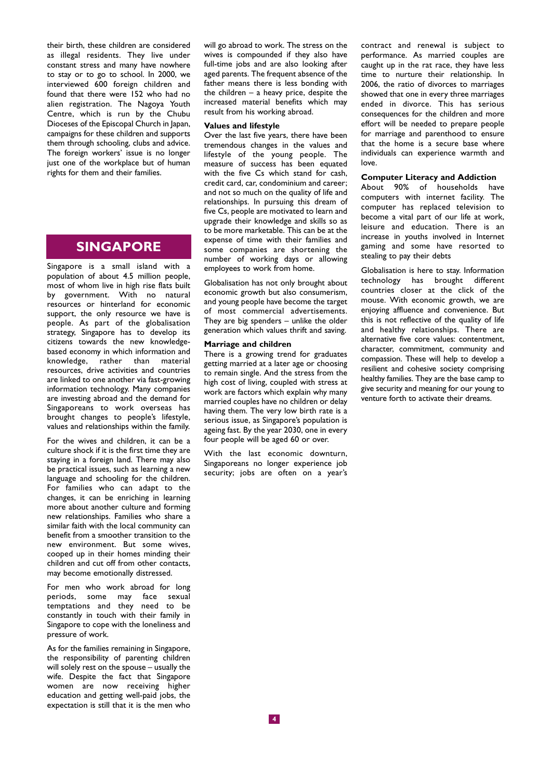their birth, these children are considered as illegal residents. They live under constant stress and many have nowhere to stay or to go to school. In 2000, we interviewed 600 foreign children and found that there were 152 who had no alien registration. The Nagoya Youth Centre, which is run by the Chubu Dioceses of the Episcopal Church in Japan, campaigns for these children and supports them through schooling, clubs and advice. The foreign workers' issue is no longer just one of the workplace but of human rights for them and their families.

### **SINGAPORE**

Singapore is a small island with a population of about 4.5 million people, most of whom live in high rise flats built by government. With no natural resources or hinterland for economic support, the only resource we have is people. As part of the globalisation strategy, Singapore has to develop its citizens towards the new knowledgebased economy in which information and knowledge, rather than material resources, drive activities and countries are linked to one another via fast-growing information technology. Many companies are investing abroad and the demand for Singaporeans to work overseas has brought changes to people's lifestyle, values and relationships within the family.

For the wives and children, it can be a culture shock if it is the first time they are staying in a foreign land. There may also be practical issues, such as learning a new language and schooling for the children. For families who can adapt to the changes, it can be enriching in learning more about another culture and forming new relationships. Families who share a similar faith with the local community can benefit from a smoother transition to the new environment. But some wives, cooped up in their homes minding their children and cut off from other contacts, may become emotionally distressed.

For men who work abroad for long periods, some may face sexual temptations and they need to be constantly in touch with their family in Singapore to cope with the loneliness and pressure of work.

As for the families remaining in Singapore, the responsibility of parenting children will solely rest on the spouse – usually the wife. Despite the fact that Singapore women are now receiving higher education and getting well-paid jobs, the expectation is still that it is the men who

will go abroad to work. The stress on the wives is compounded if they also have full-time jobs and are also looking after aged parents. The frequent absence of the father means there is less bonding with the children  $-$  a heavy price, despite the increased material benefits which may result from his working abroad.

#### **Values and lifestyle**

Over the last five years, there have been tremendous changes in the values and lifestyle of the young people. The measure of success has been equated with the five Cs which stand for cash, credit card, car, condominium and career; and not so much on the quality of life and relationships. In pursuing this dream of five Cs, people are motivated to learn and upgrade their knowledge and skills so as to be more marketable. This can be at the expense of time with their families and some companies are shortening the number of working days or allowing employees to work from home.

Globalisation has not only brought about economic growth but also consumerism, and young people have become the target of most commercial advertisements. They are big spenders – unlike the older generation which values thrift and saving.

### **Marriage and children**

There is a growing trend for graduates getting married at a later age or choosing to remain single. And the stress from the high cost of living, coupled with stress at work are factors which explain why many married couples have no children or delay having them. The very low birth rate is a serious issue, as Singapore's population is ageing fast. By the year 2030, one in every four people will be aged 60 or over.

With the last economic downturn, Singaporeans no longer experience job security; jobs are often on a year's contract and renewal is subject to performance. As married couples are caught up in the rat race, they have less time to nurture their relationship. In 2006, the ratio of divorces to marriages showed that one in every three marriages ended in divorce. This has serious consequences for the children and more effort will be needed to prepare people for marriage and parenthood to ensure that the home is a secure base where individuals can experience warmth and love.

#### **Computer Literacy and Addiction**

About 90% of households have computers with internet facility. The computer has replaced television to become a vital part of our life at work, leisure and education. There is an increase in youths involved in Internet gaming and some have resorted to stealing to pay their debts

Globalisation is here to stay. Information technology has brought different countries closer at the click of the mouse. With economic growth, we are enjoying affluence and convenience. But this is not reflective of the quality of life and healthy relationships. There are alternative five core values: contentment, character, commitment, community and compassion. These will help to develop a resilient and cohesive society comprising healthy families. They are the base camp to give security and meaning for our young to venture forth to activate their dreams.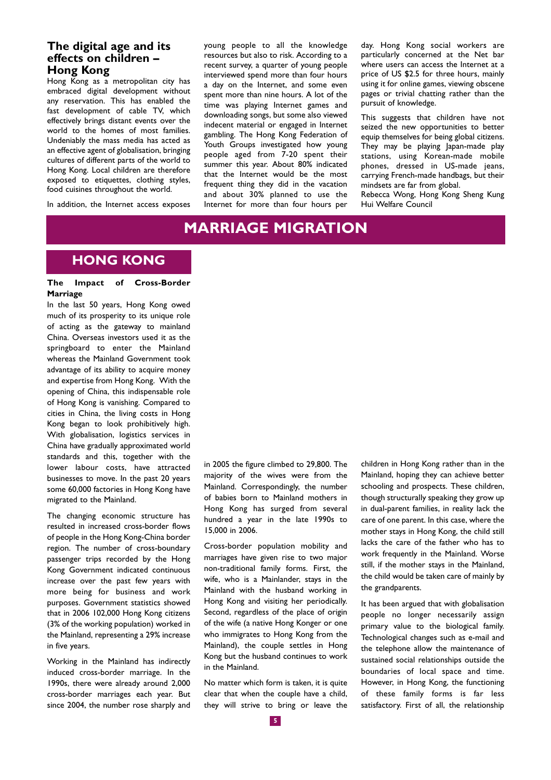### **The digital age and its effects on children – Hong Kong**

Hong Kong as a metropolitan city has embraced digital development without any reservation. This has enabled the fast development of cable TV, which effectively brings distant events over the world to the homes of most families. Undeniably the mass media has acted as an effective agent of globalisation, bringing cultures of different parts of the world to Hong Kong. Local children are therefore exposed to etiquettes, clothing styles, food cuisines throughout the world.

In addition, the Internet access exposes

young people to all the knowledge resources but also to risk. According to a recent survey, a quarter of young people interviewed spend more than four hours a day on the Internet, and some even spent more than nine hours. A lot of the time was playing Internet games and downloading songs, but some also viewed indecent material or engaged in Internet gambling. The Hong Kong Federation of Youth Groups investigated how young people aged from 7-20 spent their summer this year. About 80% indicated that the Internet would be the most frequent thing they did in the vacation and about 30% planned to use the Internet for more than four hours per day. Hong Kong social workers are particularly concerned at the Net bar where users can access the Internet at a price of US \$2.5 for three hours, mainly using it for online games, viewing obscene pages or trivial chatting rather than the pursuit of knowledge.

This suggests that children have not seized the new opportunities to better equip themselves for being global citizens. They may be playing Japan-made play stations, using Korean-made mobile phones, dressed in US-made jeans, carrying French-made handbags, but their mindsets are far from global.

Rebecca Wong, Hong Kong Sheng Kung Hui Welfare Council

# **MARRIAGE MIGRATION**

## **HONG KONG**

### **The Impact of Cross-Border Marriage**

In the last 50 years, Hong Kong owed much of its prosperity to its unique role of acting as the gateway to mainland China. Overseas investors used it as the springboard to enter the Mainland whereas the Mainland Government took advantage of its ability to acquire money and expertise from Hong Kong. With the opening of China, this indispensable role of Hong Kong is vanishing. Compared to cities in China, the living costs in Hong Kong began to look prohibitively high. With globalisation, logistics services in China have gradually approximated world standards and this, together with the lower labour costs, have attracted businesses to move. In the past 20 years some 60,000 factories in Hong Kong have migrated to the Mainland.

The changing economic structure has resulted in increased cross-border flows of people in the Hong Kong-China border region. The number of cross-boundary passenger trips recorded by the Hong Kong Government indicated continuous increase over the past few years with more being for business and work purposes. Government statistics showed that in 2006 102,000 Hong Kong citizens (3% of the working population) worked in the Mainland, representing a 29% increase in five years.

Working in the Mainland has indirectly induced cross-border marriage. In the 1990s, there were already around 2,000 cross-border marriages each year. But since 2004, the number rose sharply and in 2005 the figure climbed to 29,800. The majority of the wives were from the Mainland. Correspondingly, the number of babies born to Mainland mothers in Hong Kong has surged from several hundred a year in the late 1990s to 15,000 in 2006.

Cross-border population mobility and marriages have given rise to two major non-traditional family forms. First, the wife, who is a Mainlander, stays in the Mainland with the husband working in Hong Kong and visiting her periodically. Second, regardless of the place of origin of the wife (a native Hong Konger or one who immigrates to Hong Kong from the Mainland), the couple settles in Hong Kong but the husband continues to work in the Mainland.

No matter which form is taken, it is quite clear that when the couple have a child, they will strive to bring or leave the children in Hong Kong rather than in the Mainland, hoping they can achieve better schooling and prospects. These children, though structurally speaking they grow up in dual-parent families, in reality lack the care of one parent. In this case, where the mother stays in Hong Kong, the child still lacks the care of the father who has to work frequently in the Mainland. Worse still, if the mother stays in the Mainland, the child would be taken care of mainly by the grandparents.

It has been argued that with globalisation people no longer necessarily assign primary value to the biological family. Technological changes such as e-mail and the telephone allow the maintenance of sustained social relationships outside the boundaries of local space and time. However, in Hong Kong, the functioning of these family forms is far less satisfactory. First of all, the relationship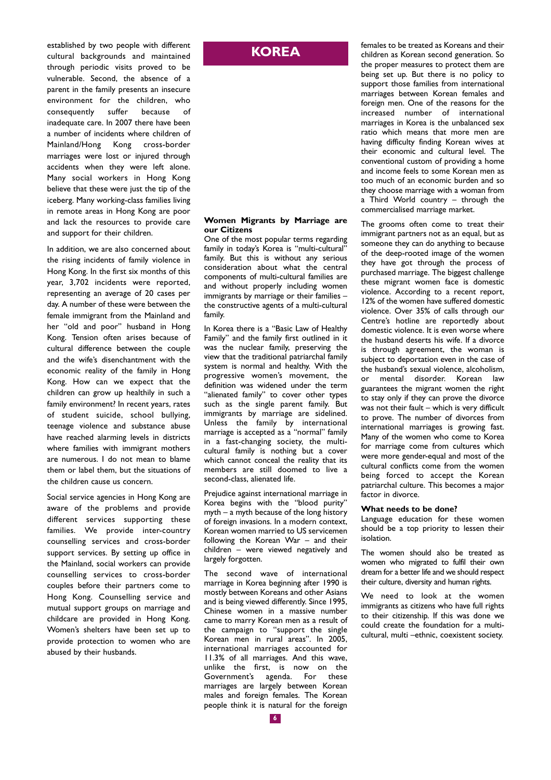established by two people with different cultural backgrounds and maintained through periodic visits proved to be vulnerable. Second, the absence of a parent in the family presents an insecure environment for the children, who consequently suffer because of inadequate care. In 2007 there have been a number of incidents where children of Mainland/Hong Kong cross-border marriages were lost or injured through accidents when they were left alone. Many social workers in Hong Kong believe that these were just the tip of the iceberg. Many working-class families living in remote areas in Hong Kong are poor and lack the resources to provide care and support for their children.

In addition, we are also concerned about the rising incidents of family violence in Hong Kong. In the first six months of this year, 3,702 incidents were reported, representing an average of 20 cases per day. A number of these were between the female immigrant from the Mainland and her "old and poor" husband in Hong Kong. Tension often arises because of cultural difference between the couple and the wife's disenchantment with the economic reality of the family in Hong Kong. How can we expect that the children can grow up healthily in such a family environment? In recent years, rates of student suicide, school bullying, teenage violence and substance abuse have reached alarming levels in districts where families with immigrant mothers are numerous. I do not mean to blame them or label them, but the situations of the children cause us concern.

Social service agencies in Hong Kong are aware of the problems and provide different services supporting these families. We provide inter-country counselling services and cross-border support services. By setting up office in the Mainland, social workers can provide counselling services to cross-border couples before their partners come to Hong Kong. Counselling service and mutual support groups on marriage and childcare are provided in Hong Kong. Women's shelters have been set up to provide protection to women who are abused by their husbands.

## **KOREA**

### **Women Migrants by Marriage are our Citizens**

One of the most popular terms regarding family in today's Korea is "multi-cultural" family. But this is without any serious consideration about what the central components of multi-cultural families are and without properly including women immigrants by marriage or their families – the constructive agents of a multi-cultural family.

In Korea there is a "Basic Law of Healthy Family" and the family first outlined in it was the nuclear family, preserving the view that the traditional patriarchal family system is normal and healthy. With the progressive women's movement, the definition was widened under the term "alienated family" to cover other types such as the single parent family. But immigrants by marriage are sidelined. Unless the family by international marriage is accepted as a "normal" family in a fast-changing society, the multicultural family is nothing but a cover which cannot conceal the reality that its members are still doomed to live a second-class, alienated life.

Prejudice against international marriage in Korea begins with the "blood purity" myth – a myth because of the long history of foreign invasions. In a modern context, Korean women married to US servicemen following the Korean War – and their children – were viewed negatively and largely forgotten.

The second wave of international marriage in Korea beginning after 1990 is mostly between Koreans and other Asians and is being viewed differently. Since 1995, Chinese women in a massive number came to marry Korean men as a result of the campaign to "support the single Korean men in rural areas". In 2005, international marriages accounted for 11.3% of all marriages. And this wave, unlike the first, is now on the Government's agenda. For these marriages are largely between Korean males and foreign females. The Korean people think it is natural for the foreign females to be treated as Koreans and their children as Korean second generation. So the proper measures to protect them are being set up. But there is no policy to support those families from international marriages between Korean females and foreign men. One of the reasons for the increased number of international marriages in Korea is the unbalanced sex ratio which means that more men are having difficulty finding Korean wives at their economic and cultural level. The conventional custom of providing a home and income feels to some Korean men as too much of an economic burden and so they choose marriage with a woman from a Third World country – through the commercialised marriage market.

The grooms often come to treat their immigrant partners not as an equal, but as someone they can do anything to because of the deep-rooted image of the women they have got through the process of purchased marriage. The biggest challenge these migrant women face is domestic violence. According to a recent report, 12% of the women have suffered domestic violence. Over 35% of calls through our Centre's hotline are reportedly about domestic violence. It is even worse where the husband deserts his wife. If a divorce is through agreement, the woman is subject to deportation even in the case of the husband's sexual violence, alcoholism, or mental disorder. Korean law guarantees the migrant women the right to stay only if they can prove the divorce was not their fault – which is very difficult to prove. The number of divorces from international marriages is growing fast. Many of the women who come to Korea for marriage come from cultures which were more gender-equal and most of the cultural conflicts come from the women being forced to accept the Korean patriarchal culture. This becomes a major factor in divorce.

#### **What needs to be done?**

Language education for these women should be a top priority to lessen their isolation.

The women should also be treated as women who migrated to fulfil their own dream for a better life and we should respect their culture, diversity and human rights.

We need to look at the women immigrants as citizens who have full rights to their citizenship. If this was done we could create the foundation for a multicultural, multi –ethnic, coexistent society.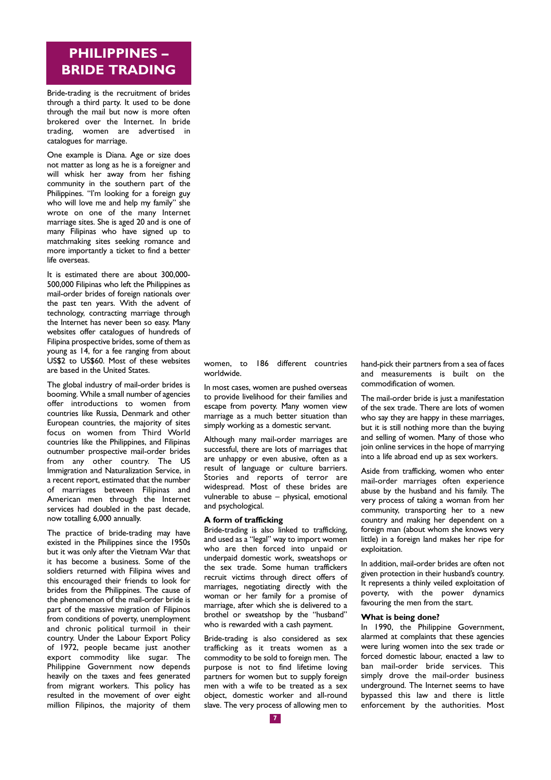# **PHILIPPINES – BRIDE TRADING**

Bride-trading is the recruitment of brides through a third party. It used to be done through the mail but now is more often brokered over the Internet. In bride trading, women are advertised in catalogues for marriage.

One example is Diana. Age or size does not matter as long as he is a foreigner and will whisk her away from her fishing community in the southern part of the Philippines. "I'm looking for a foreign guy who will love me and help my family" she wrote on one of the many Internet marriage sites. She is aged 20 and is one of many Filipinas who have signed up to matchmaking sites seeking romance and more importantly a ticket to find a better life overseas.

It is estimated there are about 300,000- 500,000 Filipinas who left the Philippines as mail-order brides of foreign nationals over the past ten years. With the advent of technology, contracting marriage through the Internet has never been so easy. Many websites offer catalogues of hundreds of Filipina prospective brides, some of them as young as 14, for a fee ranging from about US\$2 to US\$60. Most of these websites are based in the United States.

The global industry of mail-order brides is booming. While a small number of agencies offer introductions to women from countries like Russia, Denmark and other European countries, the majority of sites focus on women from Third World countries like the Philippines, and Filipinas outnumber prospective mail-order brides from any other country. The US Immigration and Naturalization Service, in a recent report, estimated that the number of marriages between Filipinas and American men through the Internet services had doubled in the past decade, now totalling 6,000 annually.

The practice of bride-trading may have existed in the Philippines since the 1950s but it was only after the Vietnam War that it has become a business. Some of the soldiers returned with Filipina wives and this encouraged their friends to look for brides from the Philippines. The cause of the phenomenon of the mail-order bride is part of the massive migration of Filipinos from conditions of poverty, unemployment and chronic political turmoil in their country. Under the Labour Export Policy of 1972, people became just another export commodity like sugar. The Philippine Government now depends heavily on the taxes and fees generated from migrant workers. This policy has resulted in the movement of over eight million Filipinos, the majority of them women, to 186 different countries worldwide.

In most cases, women are pushed overseas to provide livelihood for their families and escape from poverty. Many women view marriage as a much better situation than simply working as a domestic servant.

Although many mail-order marriages are successful, there are lots of marriages that are unhappy or even abusive, often as a result of language or culture barriers. Stories and reports of terror are widespread. Most of these brides are vulnerable to abuse – physical, emotional and psychological.

#### **A form of trafficking**

Bride-trading is also linked to trafficking, and used as a "legal" way to import women who are then forced into unpaid or underpaid domestic work, sweatshops or the sex trade. Some human traffickers recruit victims through direct offers of marriages, negotiating directly with the woman or her family for a promise of marriage, after which she is delivered to a brothel or sweatshop by the "husband" who is rewarded with a cash payment.

Bride-trading is also considered as sex trafficking as it treats women as a commodity to be sold to foreign men. The purpose is not to find lifetime loving partners for women but to supply foreign men with a wife to be treated as a sex object, domestic worker and all-round slave. The very process of allowing men to hand-pick their partners from a sea of faces and measurements is built on the commodification of women.

The mail-order bride is just a manifestation of the sex trade. There are lots of women who say they are happy in these marriages, but it is still nothing more than the buying and selling of women. Many of those who join online services in the hope of marrying into a life abroad end up as sex workers.

Aside from trafficking, women who enter mail-order marriages often experience abuse by the husband and his family. The very process of taking a woman from her community, transporting her to a new country and making her dependent on a foreign man (about whom she knows very little) in a foreign land makes her ripe for exploitation.

In addition, mail-order brides are often not given protection in their husband's country. It represents a thinly veiled exploitation of poverty, with the power dynamics favouring the men from the start.

### **What is being done?**

In 1990, the Philippine Government, alarmed at complaints that these agencies were luring women into the sex trade or forced domestic labour, enacted a law to ban mail-order bride services. This simply drove the mail-order business underground. The Internet seems to have bypassed this law and there is little enforcement by the authorities. Most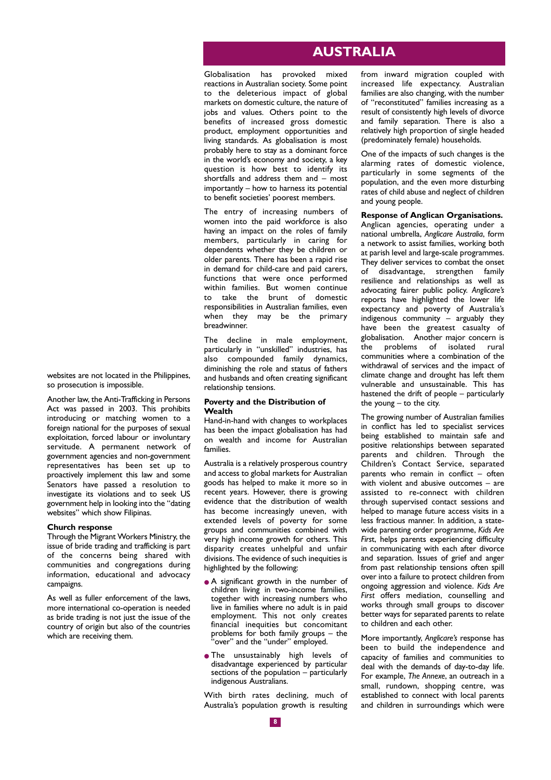### **AUSTRALIA**

Globalisation has provoked mixed reactions in Australian society. Some point to the deleterious impact of global markets on domestic culture, the nature of jobs and values. Others point to the benefits of increased gross domestic product, employment opportunities and living standards. As globalisation is most probably here to stay as a dominant force in the world's economy and society, a key question is how best to identify its shortfalls and address them and – most importantly – how to harness its potential to benefit societies' poorest members.

The entry of increasing numbers of women into the paid workforce is also having an impact on the roles of family members, particularly in caring for dependents whether they be children or older parents. There has been a rapid rise in demand for child-care and paid carers, functions that were once performed within families. But women continue to take the brunt of domestic responsibilities in Australian families, even when they may be the primary breadwinner.

The decline in male employment, particularly in "unskilled" industries, has also compounded family dynamics, diminishing the role and status of fathers and husbands and often creating significant relationship tensions.

#### **Poverty and the Distribution of Wealth**

Hand-in-hand with changes to workplaces has been the impact globalisation has had on wealth and income for Australian families.

Australia is a relatively prosperous country and access to global markets for Australian goods has helped to make it more so in recent years. However, there is growing evidence that the distribution of wealth has become increasingly uneven, with extended levels of poverty for some groups and communities combined with very high income growth for others. This disparity creates unhelpful and unfair divisions. The evidence of such inequities is highlighted by the following:

- A significant growth in the number of children living in two-income families, together with increasing numbers who live in families where no adult is in paid employment. This not only creates financial inequities but concomitant problems for both family groups  $-$  the 'over" and the "under" employed.
- The unsustainably high levels of disadvantage experienced by particular sections of the population  $-$  particularly indigenous Australians.

With birth rates declining, much of Australia's population growth is resulting from inward migration coupled with increased life expectancy. Australian families are also changing, with the number of "reconstituted" families increasing as a result of consistently high levels of divorce and family separation. There is also a relatively high proportion of single headed (predominately female) households.

One of the impacts of such changes is the alarming rates of domestic violence, particularly in some segments of the population, and the even more disturbing rates of child abuse and neglect of children and young people.

#### **Response of Anglican Organisations.**

Anglican agencies, operating under a national umbrella, *Anglicare Australia*, form a network to assist families, working both at parish level and large-scale programmes. They deliver services to combat the onset<br>of disadvantage, strengthen family  $\phi$  disadvantage, strengthen family resilience and relationships as well as advocating fairer public policy. *Anglicare's* reports have highlighted the lower life expectancy and poverty of Australia's indigenous community – arguably they have been the greatest casualty of globalisation. Another major concern is the problems of isolated rural communities where a combination of the withdrawal of services and the impact of climate change and drought has left them vulnerable and unsustainable. This has hastened the drift of people – particularly the young  $-$  to the city.

The growing number of Australian families in conflict has led to specialist services being established to maintain safe and positive relationships between separated parents and children. Through the Children's Contact Service, separated parents who remain in conflict  $-\frac{1}{2}$  often with violent and abusive outcomes – are assisted to re-connect with children through supervised contact sessions and helped to manage future access visits in a less fractious manner. In addition, a statewide parenting order programme, *Kids Are Firs*t, helps parents experiencing difficulty in communicating with each after divorce and separation. Issues of grief and anger from past relationship tensions often spill over into a failure to protect children from ongoing aggression and violence. *Kids Are First* offers mediation, counselling and works through small groups to discover better ways for separated parents to relate to children and each other.

More importantly, *Anglicare's* response has been to build the independence and capacity of families and communities to deal with the demands of day-to-day life. For example, *The Annexe*, an outreach in a small, rundown, shopping centre, was established to connect with local parents and children in surroundings which were

websites are not located in the Philippines, so prosecution is impossible.

Another law, the Anti-Trafficking in Persons Act was passed in 2003. This prohibits introducing or matching women to a foreign national for the purposes of sexual exploitation, forced labour or involuntary servitude. A permanent network of government agencies and non-government representatives has been set up to proactively implement this law and some Senators have passed a resolution to investigate its violations and to seek US government help in looking into the "dating websites" which show Filipinas.

#### **Church response**

Through the Migrant Workers Ministry, the issue of bride trading and trafficking is part of the concerns being shared with communities and congregations during information, educational and advocacy campaigns.

As well as fuller enforcement of the laws, more international co-operation is needed as bride trading is not just the issue of the country of origin but also of the countries which are receiving them.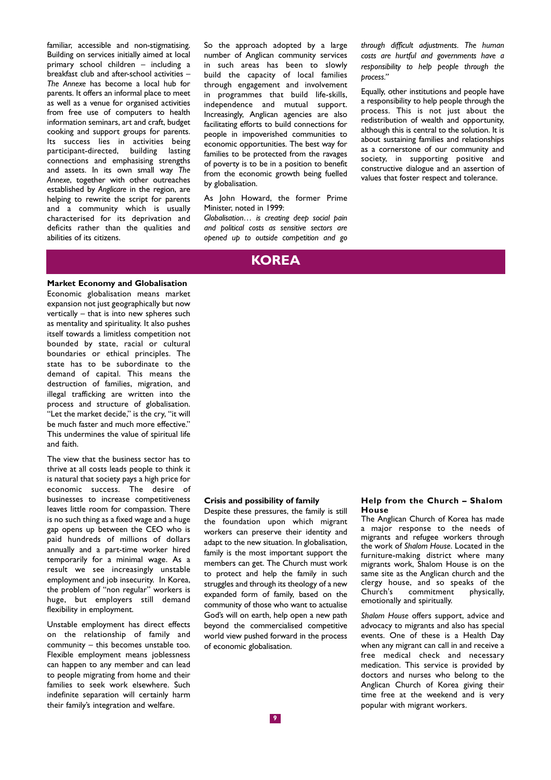familiar, accessible and non-stigmatising. Building on services initially aimed at local primary school children – including a breakfast club and after-school activities – *The Annexe* has become a local hub for parents. It offers an informal place to meet as well as a venue for organised activities from free use of computers to health information seminars, art and craft, budget cooking and support groups for parents. Its success lies in activities being participant-directed, building lasting connections and emphasising strengths and assets. In its own small way *The Annexe*, together with other outreaches established by *Anglicare* in the region, are helping to rewrite the script for parents and a community which is usually characterised for its deprivation and deficits rather than the qualities and abilities of its citizens.

So the approach adopted by a large number of Anglican community services in such areas has been to slowly build the capacity of local families through engagement and involvement in programmes that build life-skills, independence and mutual support. Increasingly, Anglican agencies are also facilitating efforts to build connections for people in impoverished communities to economic opportunities. The best way for families to be protected from the ravages of poverty is to be in a position to benefit from the economic growth being fuelled by globalisation.

As John Howard, the former Prime Minister, noted in 1999:

*Globalisation… is creating deep social pain and political costs as sensitive sectors are opened up to outside competition and go* *through difficult adjustments. The human costs are hurtful and governments have a responsibility to help people through the process."*

Equally, other institutions and people have a responsibility to help people through the process. This is not just about the redistribution of wealth and opportunity, although this is central to the solution. It is about sustaining families and relationships as a cornerstone of our community and society, in supporting positive and constructive dialogue and an assertion of values that foster respect and tolerance.

### **KOREA**

### **Market Economy and Globalisation**

Economic globalisation means market expansion not just geographically but now vertically – that is into new spheres such as mentality and spirituality. It also pushes itself towards a limitless competition not bounded by state, racial or cultural boundaries or ethical principles. The state has to be subordinate to the demand of capital. This means the destruction of families, migration, and illegal trafficking are written into the process and structure of globalisation. "Let the market decide," is the cry, "it will be much faster and much more effective." This undermines the value of spiritual life and faith.

The view that the business sector has to thrive at all costs leads people to think it is natural that society pays a high price for economic success. The desire of businesses to increase competitiveness leaves little room for compassion. There is no such thing as a fixed wage and a huge gap opens up between the CEO who is paid hundreds of millions of dollars annually and a part-time worker hired temporarily for a minimal wage. As a result we see increasingly unstable employment and job insecurity. In Korea, the problem of "non regular" workers is huge, but employers still demand flexibility in employment.

Unstable employment has direct effects on the relationship of family and community – this becomes unstable too. Flexible employment means joblessness can happen to any member and can lead to people migrating from home and their families to seek work elsewhere. Such indefinite separation will certainly harm their family's integration and welfare.

### **Crisis and possibility of family**

Despite these pressures, the family is still the foundation upon which migrant workers can preserve their identity and adapt to the new situation. In globalisation, family is the most important support the members can get. The Church must work to protect and help the family in such struggles and through its theology of a new expanded form of family, based on the community of those who want to actualise God's will on earth, help open a new path beyond the commercialised competitive world view pushed forward in the process of economic globalisation.

#### **Help from the Church – Shalom House**

The Anglican Church of Korea has made a major response to the needs of migrants and refugee workers through the work of *Shalom House*. Located in the furniture-making district where many migrants work, Shalom House is on the same site as the Anglican church and the clergy house, and so speaks of the Church's commitment physically, emotionally and spiritually.

*Shalom House* offers support, advice and advocacy to migrants and also has special events. One of these is a Health Day when any migrant can call in and receive a free medical check and necessary medication. This service is provided by doctors and nurses who belong to the Anglican Church of Korea giving their time free at the weekend and is very popular with migrant workers.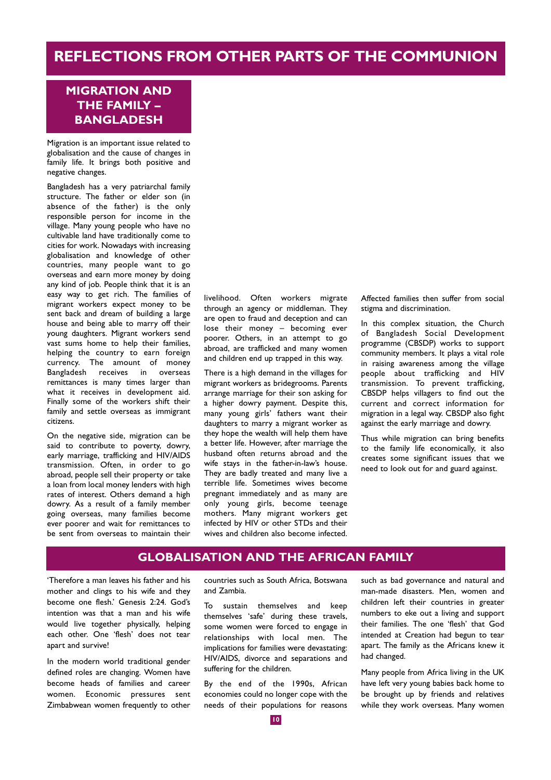# **REFLECTIONS FROM OTHER PARTS OF THE COMMUNION**

### **MIGRATION AND THE FAMILY – BANGLADESH**

Migration is an important issue related to globalisation and the cause of changes in family life. It brings both positive and negative changes.

Bangladesh has a very patriarchal family structure. The father or elder son (in absence of the father) is the only responsible person for income in the village. Many young people who have no cultivable land have traditionally come to cities for work. Nowadays with increasing globalisation and knowledge of other countries, many people want to go overseas and earn more money by doing any kind of job. People think that it is an easy way to get rich. The families of migrant workers expect money to be sent back and dream of building a large house and being able to marry off their young daughters. Migrant workers send vast sums home to help their families, helping the country to earn foreign currency. The amount of money Bangladesh receives in overseas remittances is many times larger than what it receives in development aid. Finally some of the workers shift their family and settle overseas as immigrant citizens.

On the negative side, migration can be said to contribute to poverty, dowry, early marriage, trafficking and HIV/AIDS transmission. Often, in order to go abroad, people sell their property or take a loan from local money lenders with high rates of interest. Others demand a high dowry. As a result of a family member going overseas, many families become ever poorer and wait for remittances to be sent from overseas to maintain their livelihood. Often workers migrate through an agency or middleman. They are open to fraud and deception and can lose their money – becoming ever poorer. Others, in an attempt to go abroad, are trafficked and many women and children end up trapped in this way.

There is a high demand in the villages for migrant workers as bridegrooms. Parents arrange marriage for their son asking for a higher dowry payment. Despite this, many young girls' fathers want their daughters to marry a migrant worker as they hope the wealth will help them have a better life. However, after marriage the husband often returns abroad and the wife stays in the father-in-law's house. They are badly treated and many live a terrible life. Sometimes wives become pregnant immediately and as many are only young girls, become teenage mothers. Many migrant workers get infected by HIV or other STDs and their wives and children also become infected. Affected families then suffer from social stigma and discrimination.

In this complex situation, the Church of Bangladesh Social Development programme (CBSDP) works to support community members. It plays a vital role in raising awareness among the village people about trafficking and HIV transmission. To prevent trafficking, CBSDP helps villagers to find out the current and correct information for migration in a legal way. CBSDP also fight against the early marriage and dowry.

Thus while migration can bring benefits to the family life economically, it also creates some significant issues that we need to look out for and guard against.

### **GLOBALISATION AND THE AFRICAN FAMILY**

'Therefore a man leaves his father and his mother and clings to his wife and they become one flesh.' Genesis 2:24. God's intention was that a man and his wife would live together physically, helping each other. One 'flesh' does not tear apart and survive!

In the modern world traditional gender defined roles are changing. Women have become heads of families and career women. Economic pressures sent Zimbabwean women frequently to other countries such as South Africa, Botswana and Zambia.

To sustain themselves and keep themselves 'safe' during these travels, some women were forced to engage in relationships with local men. The implications for families were devastating: HIV/AIDS, divorce and separations and suffering for the children.

By the end of the 1990s, African economies could no longer cope with the needs of their populations for reasons such as bad governance and natural and man-made disasters. Men, women and children left their countries in greater numbers to eke out a living and support their families. The one 'flesh' that God intended at Creation had begun to tear apart. The family as the Africans knew it had changed.

Many people from Africa living in the UK have left very young babies back home to be brought up by friends and relatives while they work overseas. Many women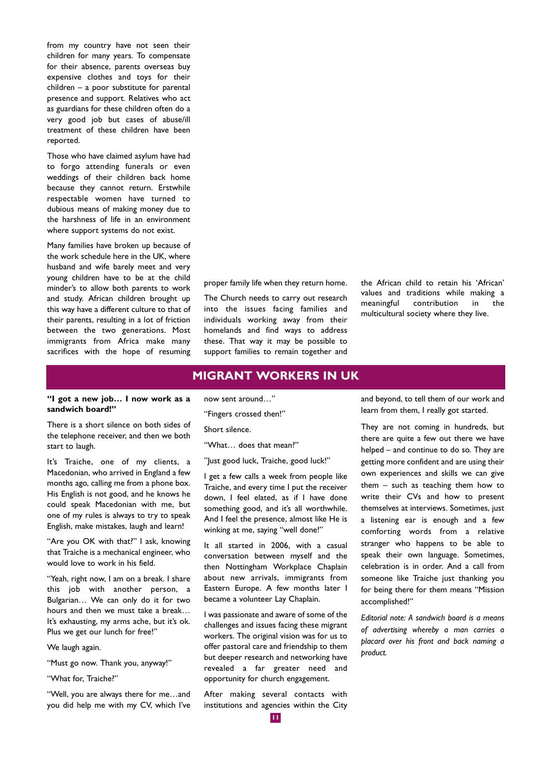from my country have not seen their children for many years. To compensate for their absence, parents overseas buy expensive clothes and toys for their children – a poor substitute for parental presence and support. Relatives who act as guardians for these children often do a very good job but cases of abuse/ill treatment of these children have been reported.

Those who have claimed asylum have had to forgo attending funerals or even weddings of their children back home because they cannot return. Erstwhile respectable women have turned to dubious means of making money due to the harshness of life in an environment where support systems do not exist.

Many families have broken up because of the work schedule here in the UK, where husband and wife barely meet and very young children have to be at the child minder's to allow both parents to work and study. African children brought up this way have a different culture to that of their parents, resulting in a lot of friction between the two generations. Most immigrants from Africa make many sacrifices with the hope of resuming

proper family life when they return home.

The Church needs to carry out research into the issues facing families and individuals working away from their homelands and find ways to address these. That way it may be possible to support families to remain together and the African child to retain his 'African' values and traditions while making a meaningful contribution in the multicultural society where they live.

# **MIGRANT WORKERS IN UK**

### **"I got a new job… I now work as a sandwich board!"**

There is a short silence on both sides of the telephone receiver, and then we both start to laugh.

It's Traiche, one of my clients, a Macedonian, who arrived in England a few months ago, calling me from a phone box. His English is not good, and he knows he could speak Macedonian with me, but one of my rules is always to try to speak English, make mistakes, laugh and learn!

"Are you OK with that?" I ask, knowing that Traiche is a mechanical engineer, who would love to work in his field.

"Yeah, right now, I am on a break. I share this job with another person, a Bulgarian… We can only do it for two hours and then we must take a break… It's exhausting, my arms ache, but it's ok. Plus we get our lunch for free!"

We laugh again.

"Must go now. Thank you, anyway!"

"What for, Traiche?"

"Well, you are always there for me…and you did help me with my CV, which I've now sent around…"

"Fingers crossed then!"

Short silence.

"What… does that mean?"

"Just good luck, Traiche, good luck!"

I get a few calls a week from people like Traiche, and every time I put the receiver down, I feel elated, as if I have done something good, and it's all worthwhile. And I feel the presence, almost like He is winking at me, saying "well done!"

It all started in 2006, with a casual conversation between myself and the then Nottingham Workplace Chaplain about new arrivals, immigrants from Eastern Europe. A few months later I became a volunteer Lay Chaplain.

I was passionate and aware of some of the challenges and issues facing these migrant workers. The original vision was for us to offer pastoral care and friendship to them but deeper research and networking have revealed a far greater need and opportunity for church engagement.

After making several contacts with institutions and agencies within the City and beyond, to tell them of our work and learn from them, I really got started.

They are not coming in hundreds, but there are quite a few out there we have helped – and continue to do so. They are getting more confident and are using their own experiences and skills we can give them – such as teaching them how to write their CVs and how to present themselves at interviews. Sometimes, just a listening ear is enough and a few comforting words from a relative stranger who happens to be able to speak their own language. Sometimes, celebration is in order. And a call from someone like Traiche just thanking you for being there for them means "Mission accomplished!"

*Editorial note: A sandwich board is a means of advertising whereby a man carries a placard over his front and back naming a product.*